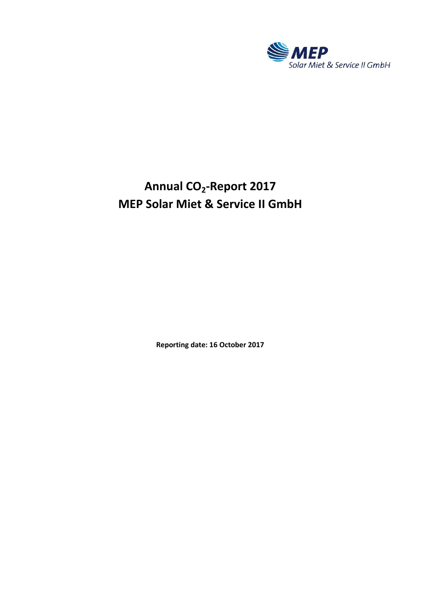

# **Annual CO<sup>2</sup> -Report 2017 MEP Solar Miet & Service II GmbH**

**Reporting date: 16 October 2017**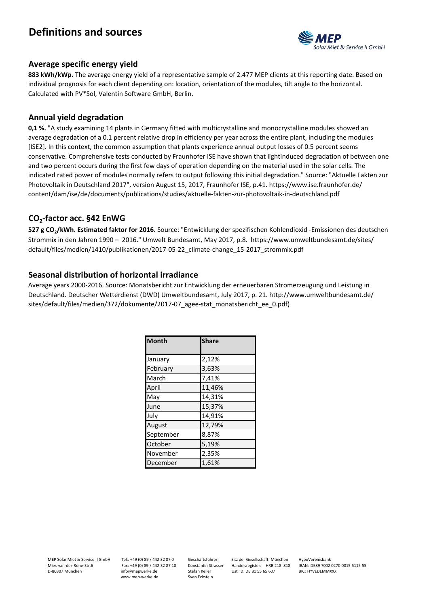## **Definitions and sources**



#### **Average specific energy yield**

**883 kWh/kWp.** The average energy yield of a representative sample of 2.477 MEP clients at this reporting date. Based on individual prognosis for each client depending on: location, orientation of the modules, tilt angle to the horizontal. Calculated with PV\*Sol, Valentin Software GmbH, Berlin.

#### **Annual yield degradation**

**0,1 %.** "A study examining 14 plants in Germany fitted with multicrystalline and monocrystalline modules showed an average degradation of a 0.1 percent relative drop in efficiency per year across the entire plant, including the modules [ISE2]. In this context, the common assumption that plants experience annual output losses of 0.5 percent seems conservative. Comprehensive tests conducted by Fraunhofer ISE have shown that lightinduced degradation of between one and two percent occurs during the first few days of operation depending on the material used in the solar cells. The indicated rated power of modules normally refers to output following this initial degradation." Source: "Aktuelle Fakten zur Photovoltaik in Deutschland 2017", version August 15, 2017, Fraunhofer ISE, p.41. https://www.ise.fraunhofer.de/ content/dam/ise/de/documents/publications/studies/aktuelle-fakten-zur-photovoltaik-in-deutschland.pdf

### **CO<sup>2</sup> -factor acc. §42 EnWG**

**527 g CO2/kWh. Estimated faktor for 2016.** Source: "Entwicklung der spezifischen Kohlendioxid -Emissionen des deutschen Strommix in den Jahren 1990 – 2016." Umwelt Bundesamt, May 2017, p.8. https://www.umweltbundesamt.de/sites/ default/files/medien/1410/publikationen/2017-05-22\_climate-change\_15-2017\_strommix.pdf

### **Seasonal distribution of horizontal irradiance**

Average years 2000-2016. Source: Monatsbericht zur Entwicklung der erneuerbaren Stromerzeugung und Leistung in Deutschland. Deutscher Wetterdienst (DWD) Umweltbundesamt, July 2017, p. 21. http://www.umweltbundesamt.de/ sites/default/files/medien/372/dokumente/2017-07 agee-stat monatsbericht ee 0.pdf)

| <b>Month</b> | <b>Share</b> |  |
|--------------|--------------|--|
|              |              |  |
| January      | 2,12%        |  |
| February     | 3,63%        |  |
| March        | 7,41%        |  |
| April        | 11,46%       |  |
| May          | 14,31%       |  |
| June         | 15,37%       |  |
| July         | 14,91%       |  |
| August       | 12,79%       |  |
| September    | 8,87%        |  |
| October      | 5,19%        |  |
| November     | 2,35%        |  |
| December     | 1,61%        |  |

Tel.: +49 (0) 89 / 442 32 87 0 Fax: +49 (0) 89 / 442 32 87 10 info@mepwerke.de www.mep-werke.de

Geschäftsführer: Konstantin Strasser Stefan Keller Sven Eckstein

Sitz der Gesellschaft: München Handelsregister: HRB 218 818 Ust ID: DE 81 55 65 607

HypoVereinsbank IBAN: DE89 7002 0270 0015 5115 55 BIC: HYVEDEMMXXX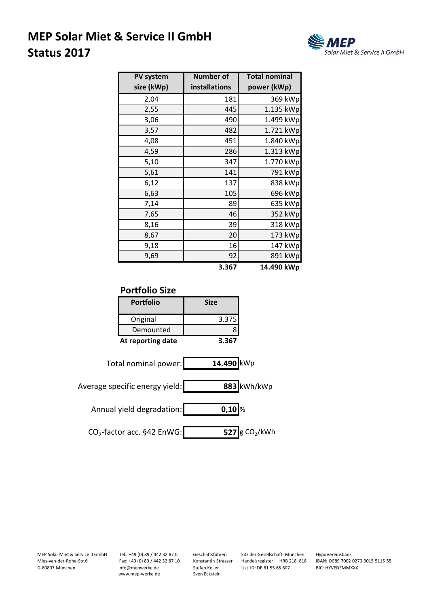## **MEP Solar Miet & Service II GmbH Status 2017**



| PV system  | <b>Number of</b> | <b>Total nominal</b> |
|------------|------------------|----------------------|
| size (kWp) | installations    | power (kWp)          |
| 2,04       | 181              | 369 kWp              |
| 2,55       | 445              | 1.135 kWp            |
| 3,06       | 490              | 1.499 kWp            |
| 3,57       | 482              | 1.721 kWp            |
| 4,08       | 451              | 1.840 kWp            |
| 4,59       | 286              | 1.313 kWp            |
| 5,10       | 347              | 1.770 kWp            |
| 5,61       | 141              | 791 kWp              |
| 6,12       | 137              | 838 kWp              |
| 6,63       | 105              | 696 kWp              |
| 7,14       | 89               | 635 kWp              |
| 7,65       | 46               | 352 kWp              |
| 8,16       | 39               | 318 kWp              |
| 8,67       | 20               | 173 kWp              |
| 9,18       | 16               | 147 kWp              |
| 9,69       | 92               | 891 kWp              |
|            | 3.367            | 14.490 kWp           |

### **Portfolio Size**

| <b>Portfolio</b>  | <b>Size</b> |
|-------------------|-------------|
| Original          | 3.375       |
| Demounted         |             |
| At reporting date | 3.367       |



Average specific energy yield: **883** kWh/kWp

Annual yield degradation: **0,10** %

CO<sub>2</sub>-factor acc. §42 EnWG: **527** g CO<sub>2</sub>  $\overline{527}$  g CO<sub>2</sub>/kWh

MEP Solar Miet & Service II GmbH Mies-van-der-Rohe-Str.6 D-80807 München

Tel.: +49 (0) 89 / 442 32 87 0 Fax: +49 (0) 89 / 442 32 87 10 info@mepwerke.de www.mep-werke.de

Geschäftsführer: Konstantin Strasser Stefan Keller Sven Eckstein

Sitz der Gesellschaft: München Handelsregister: HRB 218 818 Ust ID: DE 81 55 65 607

HypoVereinsbank IBAN: DE89 7002 0270 0015 5115 55 BIC: HYVEDEMMXXX